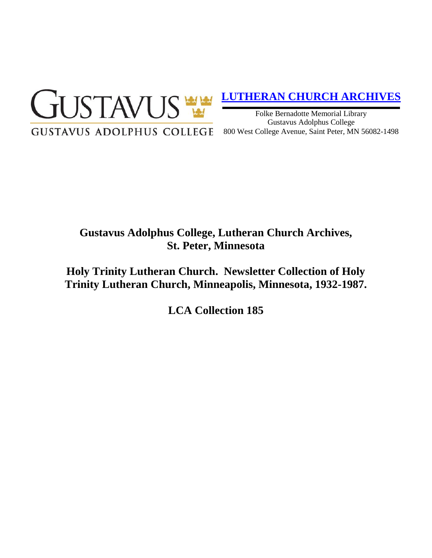

## **[LUTHERAN CHURCH ARCHIVES](http://gustavus.edu/academics/library/archives/)**

Folke Bernadotte Memorial Library Gustavus Adolphus College 800 West College Avenue, Saint Peter, MN 56082-1498

# **Gustavus Adolphus College, Lutheran Church Archives, St. Peter, Minnesota**

**Holy Trinity Lutheran Church. Newsletter Collection of Holy Trinity Lutheran Church, Minneapolis, Minnesota, 1932-1987.**

**LCA Collection 185**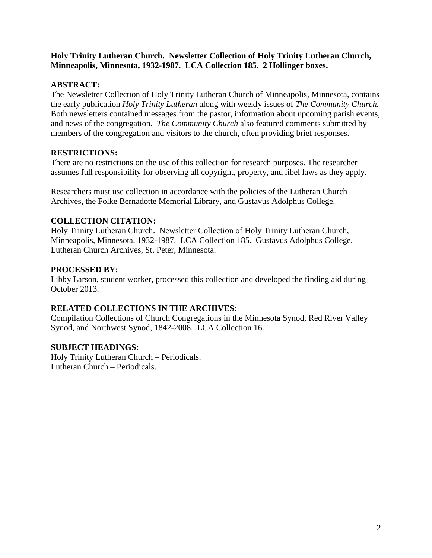#### **Holy Trinity Lutheran Church. Newsletter Collection of Holy Trinity Lutheran Church, Minneapolis, Minnesota, 1932-1987. LCA Collection 185. 2 Hollinger boxes.**

#### **ABSTRACT:**

The Newsletter Collection of Holy Trinity Lutheran Church of Minneapolis, Minnesota, contains the early publication *Holy Trinity Lutheran* along with weekly issues of *The Community Church.*  Both newsletters contained messages from the pastor, information about upcoming parish events, and news of the congregation. *The Community Church* also featured comments submitted by members of the congregation and visitors to the church, often providing brief responses.

#### **RESTRICTIONS:**

There are no restrictions on the use of this collection for research purposes. The researcher assumes full responsibility for observing all copyright, property, and libel laws as they apply.

Researchers must use collection in accordance with the policies of the Lutheran Church Archives, the Folke Bernadotte Memorial Library, and Gustavus Adolphus College.

### **COLLECTION CITATION:**

Holy Trinity Lutheran Church. Newsletter Collection of Holy Trinity Lutheran Church, Minneapolis, Minnesota, 1932-1987. LCA Collection 185. Gustavus Adolphus College, Lutheran Church Archives, St. Peter, Minnesota.

#### **PROCESSED BY:**

Libby Larson, student worker, processed this collection and developed the finding aid during October 2013.

### **RELATED COLLECTIONS IN THE ARCHIVES:**

Compilation Collections of Church Congregations in the Minnesota Synod, Red River Valley Synod, and Northwest Synod, 1842-2008. LCA Collection 16.

#### **SUBJECT HEADINGS:**

Holy Trinity Lutheran Church – Periodicals. Lutheran Church – Periodicals.